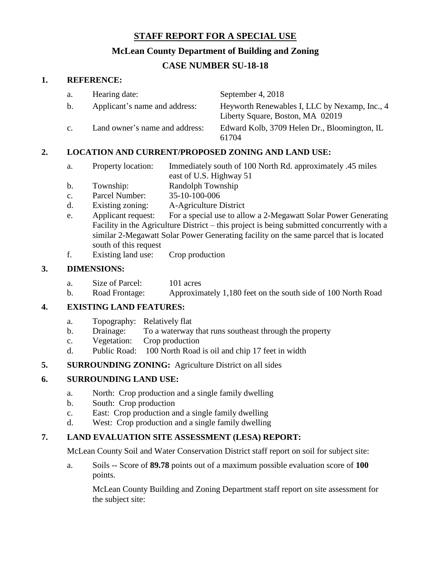### **STAFF REPORT FOR A SPECIAL USE**

## **McLean County Department of Building and Zoning**

# **CASE NUMBER SU-18-18**

#### **1. REFERENCE:**

| a.             | Hearing date:                  | September 4, 2018                                                                 |
|----------------|--------------------------------|-----------------------------------------------------------------------------------|
| $\mathbf{b}$ . | Applicant's name and address:  | Heyworth Renewables I, LLC by Nexamp, Inc., 4<br>Liberty Square, Boston, MA 02019 |
| C <sub>1</sub> | Land owner's name and address: | Edward Kolb, 3709 Helen Dr., Bloomington, IL<br>61704                             |

## **2. LOCATION AND CURRENT/PROPOSED ZONING AND LAND USE:**

- a. Property location: Immediately south of 100 North Rd. approximately .45 miles east of U.S. Highway 51
- b. Township: Randolph Township
- c. Parcel Number: 35-10-100-006
- d. Existing zoning: A-Agriculture District
- e. Applicant request: For a special use to allow a 2-Megawatt Solar Power Generating Facility in the Agriculture District – this project is being submitted concurrently with a similar 2-Megawatt Solar Power Generating facility on the same parcel that is located south of this request
- f. Existing land use: Crop production

# **3. DIMENSIONS:**

- a. Size of Parcel: 101 acres
- b. Road Frontage: Approximately 1,180 feet on the south side of 100 North Road

## **4. EXISTING LAND FEATURES:**

- a. Topography: Relatively flat
- b. Drainage: To a waterway that runs southeast through the property
- c. Vegetation: Crop production
- d. Public Road: 100 North Road is oil and chip 17 feet in width

## **5. SURROUNDING ZONING:** Agriculture District on all sides

## **6. SURROUNDING LAND USE:**

- a. North: Crop production and a single family dwelling
- b. South: Crop production
- c. East: Crop production and a single family dwelling
- d. West: Crop production and a single family dwelling

## **7. LAND EVALUATION SITE ASSESSMENT (LESA) REPORT:**

McLean County Soil and Water Conservation District staff report on soil for subject site:

a. Soils -- Score of **89.78** points out of a maximum possible evaluation score of **100** points.

McLean County Building and Zoning Department staff report on site assessment for the subject site: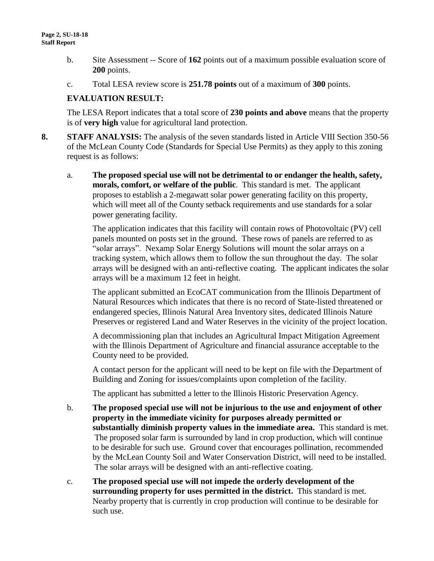- b. Site Assessment -- Score of **162** points out of a maximum possible evaluation score of **200** points.
- c. Total LESA review score is **251.78 points** out of a maximum of **300** points.

#### **EVALUATION RESULT:**

The LESA Report indicates that a total score of **230 points and above** means that the property is of **very high** value for agricultural land protection.

- **8. STAFF ANALYSIS:** The analysis of the seven standards listed in Article VIII Section 350-56 of the McLean County Code (Standards for Special Use Permits) as they apply to this zoning request is as follows:
	- a. **The proposed special use will not be detrimental to or endanger the health, safety, morals, comfort, or welfare of the public**. This standard is met. The applicant proposes to establish a 2-megawatt solar power generating facility on this property, which will meet all of the County setback requirements and use standards for a solar power generating facility.

The application indicates that this facility will contain rows of Photovoltaic (PV) cell panels mounted on posts set in the ground. These rows of panels are referred to as "solar arrays". Nexamp Solar Energy Solutions will mount the solar arrays on a tracking system, which allows them to follow the sun throughout the day. The solar arrays will be designed with an anti-reflective coating. The applicant indicates the solar arrays will be a maximum 12 feet in height.

The applicant submitted an EcoCAT communication from the Illinois Department of Natural Resources which indicates that there is no record of State-listed threatened or endangered species, Illinois Natural Area Inventory sites, dedicated Illinois Nature Preserves or registered Land and Water Reserves in the vicinity of the project location.

A decommissioning plan that includes an Agricultural Impact Mitigation Agreement with the Illinois Department of Agriculture and financial assurance acceptable to the County need to be provided.

A contact person for the applicant will need to be kept on file with the Department of Building and Zoning for issues/complaints upon completion of the facility.

The applicant has submitted a letter to the Illinois Historic Preservation Agency.

- b. **The proposed special use will not be injurious to the use and enjoyment of other property in the immediate vicinity for purposes already permitted or substantially diminish property values in the immediate area.** This standard is met. The proposed solar farm is surrounded by land in crop production, which will continue to be desirable for such use. Ground cover that encourages pollination, recommended by the McLean County Soil and Water Conservation District, will need to be installed. The solar arrays will be designed with an anti-reflective coating.
- c. **The proposed special use will not impede the orderly development of the surrounding property for uses permitted in the district.** This standard is met. Nearby property that is currently in crop production will continue to be desirable for such use.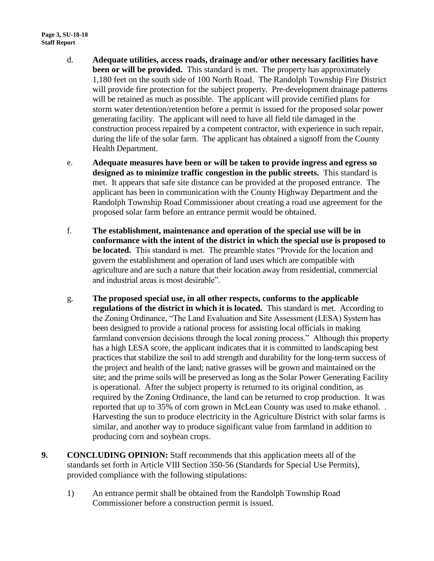- d. **Adequate utilities, access roads, drainage and/or other necessary facilities have been or will be provided.** This standard is met. The property has approximately 1,180 feet on the south side of 100 North Road. The Randolph Township Fire District will provide fire protection for the subject property. Pre-development drainage patterns will be retained as much as possible. The applicant will provide certified plans for storm water detention/retention before a permit is issued for the proposed solar power generating facility. The applicant will need to have all field tile damaged in the construction process repaired by a competent contractor, with experience in such repair, during the life of the solar farm. The applicant has obtained a signoff from the County Health Department.
- e. **Adequate measures have been or will be taken to provide ingress and egress so designed as to minimize traffic congestion in the public streets.** This standard is met. It appears that safe site distance can be provided at the proposed entrance. The applicant has been in communication with the County Highway Department and the Randolph Township Road Commissioner about creating a road use agreement for the proposed solar farm before an entrance permit would be obtained.
- f. **The establishment, maintenance and operation of the special use will be in conformance with the intent of the district in which the special use is proposed to be located.** This standard is met. The preamble states "Provide for the location and govern the establishment and operation of land uses which are compatible with agriculture and are such a nature that their location away from residential, commercial and industrial areas is most desirable".
- g. **The proposed special use, in all other respects, conforms to the applicable regulations of the district in which it is located.** This standard is met. According to the Zoning Ordinance, "The Land Evaluation and Site Assessment (LESA) System has been designed to provide a rational process for assisting local officials in making farmland conversion decisions through the local zoning process." Although this property has a high LESA score, the applicant indicates that it is committed to landscaping best practices that stabilize the soil to add strength and durability for the long-term success of the project and health of the land; native grasses will be grown and maintained on the site; and the prime soils will be preserved as long as the Solar Power Generating Facility is operational. After the subject property is returned to its original condition, as required by the Zoning Ordinance, the land can be returned to crop production. It was reported that up to 35% of corn grown in McLean County was used to make ethanol. . Harvesting the sun to produce electricity in the Agriculture District with solar farms is similar, and another way to produce significant value from farmland in addition to producing corn and soybean crops.
- **9. CONCLUDING OPINION:** Staff recommends that this application meets all of the standards set forth in Article VIII Section 350-56 (Standards for Special Use Permits), provided compliance with the following stipulations:
	- 1) An entrance permit shall be obtained from the Randolph Township Road Commissioner before a construction permit is issued.